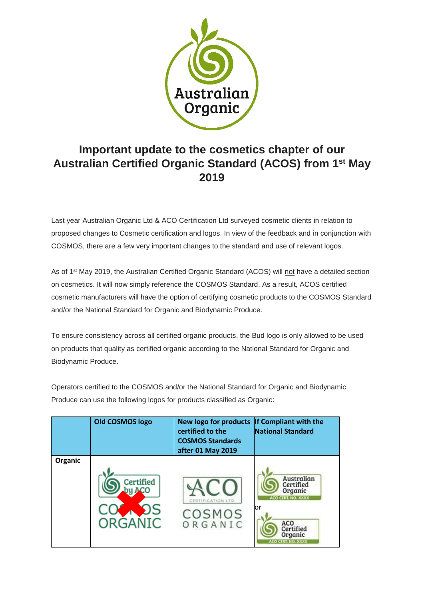

## **Important update to the cosmetics chapter of our Australian Certified Organic Standard (ACOS) from 1st May 2019**

Last year Australian Organic Ltd & ACO Certification Ltd surveyed cosmetic clients in relation to proposed changes to Cosmetic certification and logos. In view of the feedback and in conjunction with COSMOS, there are a few very important changes to the standard and use of relevant logos.

As of 1st May 2019, the Australian Certified Organic Standard (ACOS) will not have a detailed section on cosmetics. It will now simply reference the COSMOS Standard. As a result, ACOS certified cosmetic manufacturers will have the option of certifying cosmetic products to the COSMOS Standard and/or the National Standard for Organic and Biodynamic Produce.

To ensure consistency across all certified organic products, the Bud logo is only allowed to be used on products that quality as certified organic according to the National Standard for Organic and Biodynamic Produce.

Operators certified to the COSMOS and/or the National Standard for Organic and Biodynamic Produce can use the following logos for products classified as Organic:

|         | <b>Old COSMOS logo</b>  | <b>New logo for products</b><br>certified to the<br><b>COSMOS Standards</b><br>after 01 May 2019 | If Compliant with the<br><b>National Standard</b>                                                                    |
|---------|-------------------------|--------------------------------------------------------------------------------------------------|----------------------------------------------------------------------------------------------------------------------|
| Organic |                         |                                                                                                  |                                                                                                                      |
|         | ified<br><b>ORGANIC</b> | COSMOS<br>RGANIC                                                                                 | Australian<br>Certified<br>Organic<br>ACO CERT. NO. XXXX<br>lor<br>ACO<br>Certified<br>Organic<br>ACO CERT. NO. XXXX |